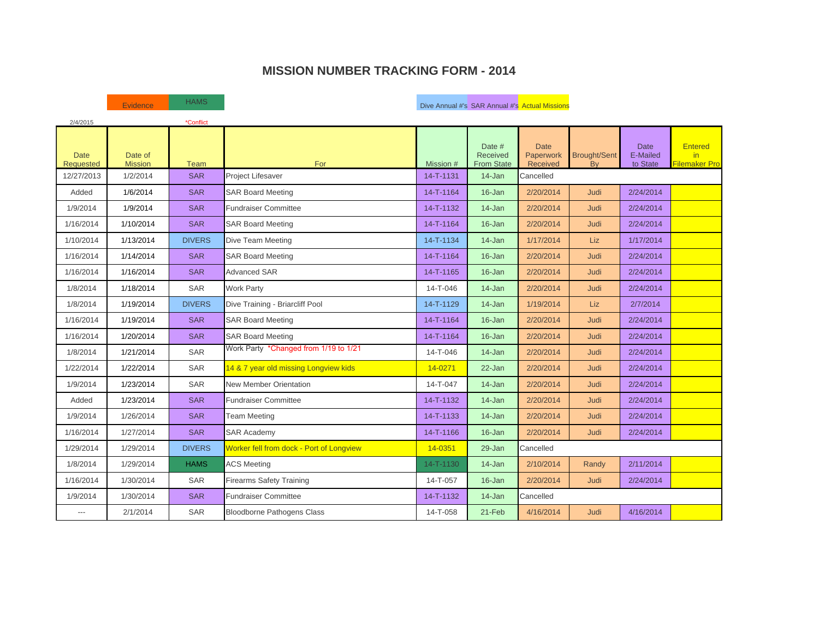### **MISSION NUMBER TRACKING FORM - 2014**

| 2/4/2015                        |                           | *Conflict     |                                          |           |                                         |                                      |                                  |                                     |                                        |
|---------------------------------|---------------------------|---------------|------------------------------------------|-----------|-----------------------------------------|--------------------------------------|----------------------------------|-------------------------------------|----------------------------------------|
| <b>Date</b><br><b>Requested</b> | Date of<br><b>Mission</b> | Team          | For                                      | Mission # | Date #<br>Received<br><b>From State</b> | <b>Date</b><br>Paperwork<br>Received | <b>Brought/Sent</b><br><b>Bv</b> | <b>Date</b><br>E-Mailed<br>to State | <b>Entered</b><br>in.<br>Filemaker Pro |
| 12/27/2013                      | 1/2/2014                  | <b>SAR</b>    | Project Lifesaver                        | 14-T-1131 | $14 - Jan$                              | Cancelled                            |                                  |                                     |                                        |
| Added                           | 1/6/2014                  | <b>SAR</b>    | <b>SAR Board Meeting</b>                 | 14-T-1164 | $16 - Jan$                              | 2/20/2014                            | Judi                             | 2/24/2014                           |                                        |
| 1/9/2014                        | 1/9/2014                  | <b>SAR</b>    | <b>Fundraiser Committee</b>              | 14-T-1132 | $14 - Jan$                              | 2/20/2014                            | Judi                             | 2/24/2014                           |                                        |
| 1/16/2014                       | 1/10/2014                 | <b>SAR</b>    | <b>SAR Board Meeting</b>                 | 14-T-1164 | 16-Jan                                  | 2/20/2014                            | Judi                             | 2/24/2014                           |                                        |
| 1/10/2014                       | 1/13/2014                 | <b>DIVERS</b> | Dive Team Meeting                        | 14-T-1134 | $14 - Jan$                              | 1/17/2014                            | <b>Liz</b>                       | 1/17/2014                           |                                        |
| 1/16/2014                       | 1/14/2014                 | <b>SAR</b>    | <b>SAR Board Meeting</b>                 | 14-T-1164 | 16-Jan                                  | 2/20/2014                            | Judi                             | 2/24/2014                           |                                        |
| 1/16/2014                       | 1/16/2014                 | <b>SAR</b>    | <b>Advanced SAR</b>                      | 14-T-1165 | 16-Jan                                  | 2/20/2014                            | Judi                             | 2/24/2014                           |                                        |
| 1/8/2014                        | 1/18/2014                 | <b>SAR</b>    | <b>Work Party</b>                        | 14-T-046  | $14 - Jan$                              | 2/20/2014                            | Judi                             | 2/24/2014                           |                                        |
| 1/8/2014                        | 1/19/2014                 | <b>DIVERS</b> | Dive Training - Briarcliff Pool          | 14-T-1129 | 14-Jan                                  | 1/19/2014                            | Liz                              | 2/7/2014                            |                                        |
| 1/16/2014                       | 1/19/2014                 | <b>SAR</b>    | <b>SAR Board Meeting</b>                 | 14-T-1164 | 16-Jan                                  | 2/20/2014                            | Judi                             | 2/24/2014                           |                                        |
| 1/16/2014                       | 1/20/2014                 | <b>SAR</b>    | <b>SAR Board Meeting</b>                 | 14-T-1164 | 16-Jan                                  | 2/20/2014                            | Judi                             | 2/24/2014                           |                                        |
| 1/8/2014                        | 1/21/2014                 | <b>SAR</b>    | Work Party *Changed from 1/19 to 1/21    | 14-T-046  | 14-Jan                                  | 2/20/2014                            | Judi                             | 2/24/2014                           |                                        |
| 1/22/2014                       | 1/22/2014                 | <b>SAR</b>    | 14 & 7 year old missing Longview kids    | 14-0271   | $22 - Jan$                              | 2/20/2014                            | Judi                             | 2/24/2014                           |                                        |
| 1/9/2014                        | 1/23/2014                 | <b>SAR</b>    | <b>New Member Orientation</b>            | 14-T-047  | $14 - Jan$                              | 2/20/2014                            | Judi                             | 2/24/2014                           |                                        |
| Added                           | 1/23/2014                 | <b>SAR</b>    | <b>Fundraiser Committee</b>              | 14-T-1132 | $14 - Jan$                              | 2/20/2014                            | Judi                             | 2/24/2014                           |                                        |
| 1/9/2014                        | 1/26/2014                 | <b>SAR</b>    | <b>Team Meeting</b>                      | 14-T-1133 | $14 - Jan$                              | 2/20/2014                            | Judi                             | 2/24/2014                           |                                        |
| 1/16/2014                       | 1/27/2014                 | <b>SAR</b>    | <b>SAR Academy</b>                       | 14-T-1166 | $16 - Jan$                              | 2/20/2014                            | Judi                             | 2/24/2014                           |                                        |
| 1/29/2014                       | 1/29/2014                 | <b>DIVERS</b> | Worker fell from dock - Port of Longview | 14-0351   | 29-Jan                                  | Cancelled                            |                                  |                                     |                                        |
| 1/8/2014                        | 1/29/2014                 | <b>HAMS</b>   | <b>ACS Meeting</b>                       | 14-T-1130 | $14 - Jan$                              | 2/10/2014                            | Randy                            | 2/11/2014                           |                                        |
| 1/16/2014                       | 1/30/2014                 | <b>SAR</b>    | <b>Firearms Safety Training</b>          | 14-T-057  | 16-Jan                                  | 2/20/2014                            | Judi                             | 2/24/2014                           |                                        |
| 1/9/2014                        | 1/30/2014                 | <b>SAR</b>    | <b>Fundraiser Committee</b>              | 14-T-1132 | $14 - Jan$                              | Cancelled                            |                                  |                                     |                                        |
| $---$                           | 2/1/2014                  | <b>SAR</b>    | <b>Bloodborne Pathogens Class</b>        | 14-T-058  | 21-Feb                                  | 4/16/2014                            | Judi                             | 4/16/2014                           |                                        |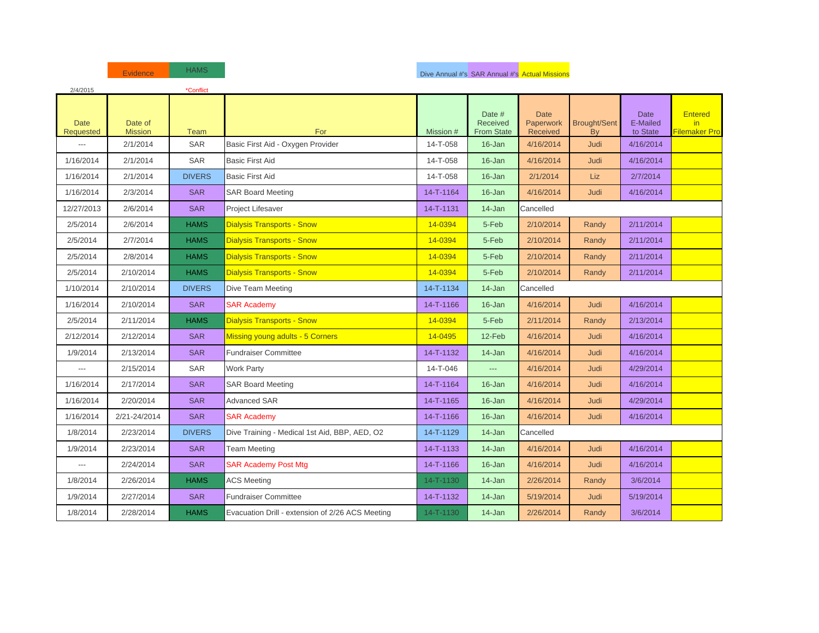| 2/4/2015                        |                           | *Conflict     |                                                  |           |                                                |                                      |                           |                                     |                                       |
|---------------------------------|---------------------------|---------------|--------------------------------------------------|-----------|------------------------------------------------|--------------------------------------|---------------------------|-------------------------------------|---------------------------------------|
| <b>Date</b><br><b>Requested</b> | Date of<br><b>Mission</b> | <b>Team</b>   | For                                              | Mission # | Date #<br><b>Received</b><br><b>From State</b> | <b>Date</b><br>Paperwork<br>Received | <b>Brought/Sent</b><br>By | <b>Date</b><br>E-Mailed<br>to State | <b>Entered</b><br>in<br>Filemaker Pro |
| $\overline{a}$                  | 2/1/2014                  | <b>SAR</b>    | Basic First Aid - Oxygen Provider                | 14-T-058  | 16-Jan                                         | 4/16/2014                            | <b>Judi</b>               | 4/16/2014                           |                                       |
| 1/16/2014                       | 2/1/2014                  | <b>SAR</b>    | <b>Basic First Aid</b>                           | 14-T-058  | 16-Jan                                         | 4/16/2014                            | Judi                      | 4/16/2014                           |                                       |
| 1/16/2014                       | 2/1/2014                  | <b>DIVERS</b> | <b>Basic First Aid</b>                           | 14-T-058  | 16-Jan                                         | 2/1/2014                             | Liz                       | 2/7/2014                            |                                       |
| 1/16/2014                       | 2/3/2014                  | <b>SAR</b>    | <b>SAR Board Meeting</b>                         | 14-T-1164 | 16-Jan                                         | 4/16/2014                            | Judi                      | 4/16/2014                           |                                       |
| 12/27/2013                      | 2/6/2014                  | <b>SAR</b>    | Project Lifesaver                                | 14-T-1131 | 14-Jan                                         | Cancelled                            |                           |                                     |                                       |
| 2/5/2014                        | 2/6/2014                  | <b>HAMS</b>   | <b>Dialysis Transports - Snow</b>                | 14-0394   | 5-Feb                                          | 2/10/2014                            | Randy                     | 2/11/2014                           |                                       |
| 2/5/2014                        | 2/7/2014                  | <b>HAMS</b>   | <b>Dialysis Transports - Snow</b>                | 14-0394   | 5-Feb                                          | 2/10/2014                            | Randy                     | 2/11/2014                           |                                       |
| 2/5/2014                        | 2/8/2014                  | <b>HAMS</b>   | <b>Dialysis Transports - Snow</b>                | 14-0394   | 5-Feb                                          | 2/10/2014                            | Randy                     | 2/11/2014                           |                                       |
| 2/5/2014                        | 2/10/2014                 | <b>HAMS</b>   | <b>Dialysis Transports - Snow</b>                | 14-0394   | 5-Feb                                          | 2/10/2014                            | Randy                     | 2/11/2014                           |                                       |
| 1/10/2014                       | 2/10/2014                 | <b>DIVERS</b> | Dive Team Meeting                                | 14-T-1134 | 14-Jan                                         | Cancelled                            |                           |                                     |                                       |
| 1/16/2014                       | 2/10/2014                 | <b>SAR</b>    | <b>SAR Academy</b>                               | 14-T-1166 | 16-Jan                                         | 4/16/2014                            | Judi                      | 4/16/2014                           |                                       |
| 2/5/2014                        | 2/11/2014                 | <b>HAMS</b>   | <b>Dialysis Transports - Snow</b>                | 14-0394   | 5-Feb                                          | 2/11/2014                            | Randy                     | 2/13/2014                           |                                       |
| 2/12/2014                       | 2/12/2014                 | <b>SAR</b>    | Missing young adults - 5 Corners                 | 14-0495   | 12-Feb                                         | 4/16/2014                            | Judi                      | 4/16/2014                           |                                       |
| 1/9/2014                        | 2/13/2014                 | <b>SAR</b>    | <b>Fundraiser Committee</b>                      | 14-T-1132 | 14-Jan                                         | 4/16/2014                            | Judi                      | 4/16/2014                           |                                       |
| ---                             | 2/15/2014                 | SAR           | <b>Work Party</b>                                | 14-T-046  | ---                                            | 4/16/2014                            | Judi                      | 4/29/2014                           |                                       |
| 1/16/2014                       | 2/17/2014                 | <b>SAR</b>    | <b>SAR Board Meeting</b>                         | 14-T-1164 | 16-Jan                                         | 4/16/2014                            | Judi                      | 4/16/2014                           |                                       |
| 1/16/2014                       | 2/20/2014                 | <b>SAR</b>    | <b>Advanced SAR</b>                              | 14-T-1165 | 16-Jan                                         | 4/16/2014                            | <b>Judi</b>               | 4/29/2014                           |                                       |
| 1/16/2014                       | 2/21-24/2014              | <b>SAR</b>    | <b>SAR Academy</b>                               | 14-T-1166 | 16-Jan                                         | 4/16/2014                            | <b>Judi</b>               | 4/16/2014                           |                                       |
| 1/8/2014                        | 2/23/2014                 | <b>DIVERS</b> | Dive Training - Medical 1st Aid, BBP, AED, O2    | 14-T-1129 | 14-Jan                                         | Cancelled                            |                           |                                     |                                       |
| 1/9/2014                        | 2/23/2014                 | <b>SAR</b>    | Team Meeting                                     | 14-T-1133 | 14-Jan                                         | 4/16/2014                            | <b>Judi</b>               | 4/16/2014                           |                                       |
| ---                             | 2/24/2014                 | <b>SAR</b>    | <b>SAR Academy Post Mtg</b>                      | 14-T-1166 | 16-Jan                                         | 4/16/2014                            | Judi                      | 4/16/2014                           |                                       |
| 1/8/2014                        | 2/26/2014                 | <b>HAMS</b>   | <b>ACS Meeting</b>                               | 14-T-1130 | 14-Jan                                         | 2/26/2014                            | Randy                     | 3/6/2014                            |                                       |
| 1/9/2014                        | 2/27/2014                 | <b>SAR</b>    | <b>Fundraiser Committee</b>                      | 14-T-1132 | 14-Jan                                         | 5/19/2014                            | Judi                      | 5/19/2014                           |                                       |
| 1/8/2014                        | 2/28/2014                 | <b>HAMS</b>   | Evacuation Drill - extension of 2/26 ACS Meeting | 14-T-1130 | 14-Jan                                         | 2/26/2014                            | Randy                     | 3/6/2014                            |                                       |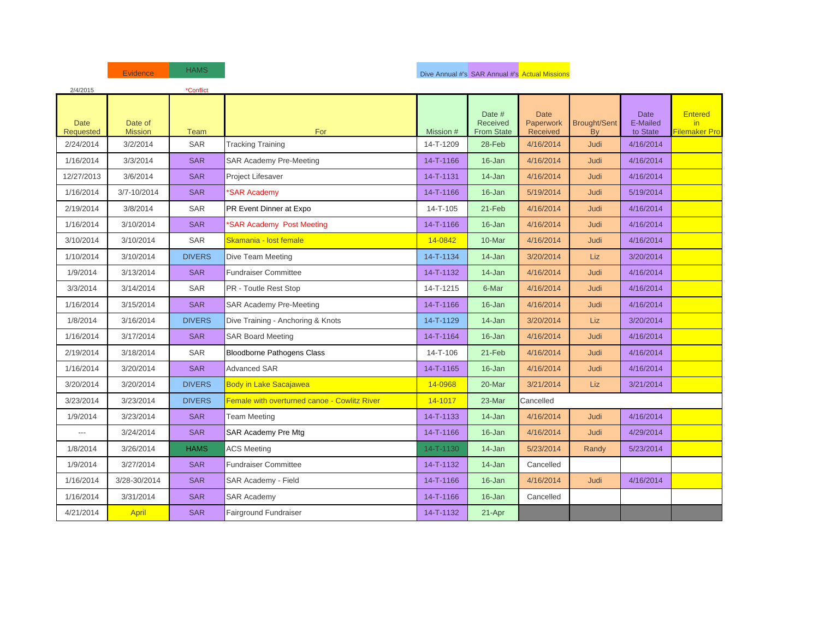| 2/4/2015                        |                           | *Conflict     |                                              |           |                                         |                                      |                           |                                     |                                        |
|---------------------------------|---------------------------|---------------|----------------------------------------------|-----------|-----------------------------------------|--------------------------------------|---------------------------|-------------------------------------|----------------------------------------|
| <b>Date</b><br><b>Requested</b> | Date of<br><b>Mission</b> | Team          | For                                          | Mission # | Date #<br>Received<br><b>From State</b> | <b>Date</b><br>Paperwork<br>Received | <b>Brought/Sent</b><br>By | <b>Date</b><br>E-Mailed<br>to State | <b>Entered</b><br>in.<br>Filemaker Pro |
| 2/24/2014                       | 3/2/2014                  | <b>SAR</b>    | <b>Tracking Training</b>                     | 14-T-1209 | 28-Feb                                  | 4/16/2014                            | <b>Judi</b>               | 4/16/2014                           |                                        |
| 1/16/2014                       | 3/3/2014                  | <b>SAR</b>    | <b>SAR Academy Pre-Meeting</b>               | 14-T-1166 | 16-Jan                                  | 4/16/2014                            | Judi                      | 4/16/2014                           |                                        |
| 12/27/2013                      | 3/6/2014                  | <b>SAR</b>    | Project Lifesaver                            | 14-T-1131 | 14-Jan                                  | 4/16/2014                            | Judi                      | 4/16/2014                           |                                        |
| 1/16/2014                       | 3/7-10/2014               | <b>SAR</b>    | *SAR Academy                                 | 14-T-1166 | 16-Jan                                  | 5/19/2014                            | Judi                      | 5/19/2014                           |                                        |
| 2/19/2014                       | 3/8/2014                  | SAR           | PR Event Dinner at Expo                      | 14-T-105  | 21-Feb                                  | 4/16/2014                            | Judi                      | 4/16/2014                           |                                        |
| 1/16/2014                       | 3/10/2014                 | <b>SAR</b>    | *SAR Academy Post Meeting                    | 14-T-1166 | 16-Jan                                  | 4/16/2014                            | Judi                      | 4/16/2014                           |                                        |
| 3/10/2014                       | 3/10/2014                 | SAR           | Skamania - lost female                       | 14-0842   | 10-Mar                                  | 4/16/2014                            | Judi                      | 4/16/2014                           |                                        |
| 1/10/2014                       | 3/10/2014                 | <b>DIVERS</b> | Dive Team Meeting                            | 14-T-1134 | 14-Jan                                  | 3/20/2014                            | <b>Liz</b>                | 3/20/2014                           |                                        |
| 1/9/2014                        | 3/13/2014                 | <b>SAR</b>    | <b>Fundraiser Committee</b>                  | 14-T-1132 | 14-Jan                                  | 4/16/2014                            | <b>Judi</b>               | 4/16/2014                           |                                        |
| 3/3/2014                        | 3/14/2014                 | <b>SAR</b>    | PR - Toutle Rest Stop                        | 14-T-1215 | 6-Mar                                   | 4/16/2014                            | Judi                      | 4/16/2014                           |                                        |
| 1/16/2014                       | 3/15/2014                 | <b>SAR</b>    | <b>SAR Academy Pre-Meeting</b>               | 14-T-1166 | 16-Jan                                  | 4/16/2014                            | <b>Judi</b>               | 4/16/2014                           |                                        |
| 1/8/2014                        | 3/16/2014                 | <b>DIVERS</b> | Dive Training - Anchoring & Knots            | 14-T-1129 | 14-Jan                                  | 3/20/2014                            | <b>Liz</b>                | 3/20/2014                           |                                        |
| 1/16/2014                       | 3/17/2014                 | <b>SAR</b>    | <b>SAR Board Meeting</b>                     | 14-T-1164 | 16-Jan                                  | 4/16/2014                            | <b>Judi</b>               | 4/16/2014                           |                                        |
| 2/19/2014                       | 3/18/2014                 | <b>SAR</b>    | Bloodborne Pathogens Class                   | 14-T-106  | 21-Feb                                  | 4/16/2014                            | Judi                      | 4/16/2014                           |                                        |
| 1/16/2014                       | 3/20/2014                 | <b>SAR</b>    | <b>Advanced SAR</b>                          | 14-T-1165 | 16-Jan                                  | 4/16/2014                            | Judi                      | 4/16/2014                           |                                        |
| 3/20/2014                       | 3/20/2014                 | <b>DIVERS</b> | <b>Body in Lake Sacajawea</b>                | 14-0968   | 20-Mar                                  | 3/21/2014                            | Liz                       | 3/21/2014                           |                                        |
| 3/23/2014                       | 3/23/2014                 | <b>DIVERS</b> | Female with overturned canoe - Cowlitz River | 14-1017   | 23-Mar                                  | Cancelled                            |                           |                                     |                                        |
| 1/9/2014                        | 3/23/2014                 | <b>SAR</b>    | Team Meeting                                 | 14-T-1133 | 14-Jan                                  | 4/16/2014                            | <b>Judi</b>               | 4/16/2014                           |                                        |
| ---                             | 3/24/2014                 | <b>SAR</b>    | SAR Academy Pre Mtg                          | 14-T-1166 | 16-Jan                                  | 4/16/2014                            | Judi                      | 4/29/2014                           |                                        |
| 1/8/2014                        | 3/26/2014                 | <b>HAMS</b>   | <b>ACS Meeting</b>                           | 14-T-1130 | 14-Jan                                  | 5/23/2014                            | Randy                     | 5/23/2014                           |                                        |
| 1/9/2014                        | 3/27/2014                 | <b>SAR</b>    | <b>Fundraiser Committee</b>                  | 14-T-1132 | 14-Jan                                  | Cancelled                            |                           |                                     |                                        |
| 1/16/2014                       | 3/28-30/2014              | <b>SAR</b>    | SAR Academy - Field                          | 14-T-1166 | 16-Jan                                  | 4/16/2014                            | <b>Judi</b>               | 4/16/2014                           |                                        |
| 1/16/2014                       | 3/31/2014                 | <b>SAR</b>    | <b>SAR Academy</b>                           | 14-T-1166 | 16-Jan                                  | Cancelled                            |                           |                                     |                                        |
| 4/21/2014                       | April                     | <b>SAR</b>    | Fairground Fundraiser                        | 14-T-1132 | 21-Apr                                  |                                      |                           |                                     |                                        |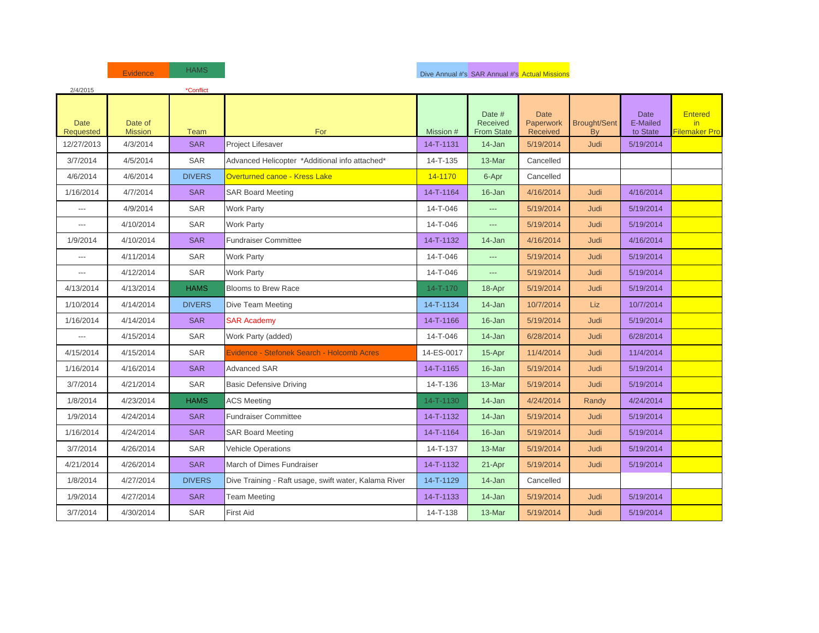| 2/4/2015                        |                           | *Conflict     |                                                       |                |                                         |                                      |                                  |                                     |                                        |
|---------------------------------|---------------------------|---------------|-------------------------------------------------------|----------------|-----------------------------------------|--------------------------------------|----------------------------------|-------------------------------------|----------------------------------------|
| <b>Date</b><br><b>Requested</b> | Date of<br><b>Mission</b> | <b>Team</b>   | For                                                   | Mission #      | Date #<br>Received<br><b>From State</b> | <b>Date</b><br>Paperwork<br>Received | <b>Brought/Sent</b><br><b>Bv</b> | <b>Date</b><br>E-Mailed<br>to State | <b>Entered</b><br>in.<br>Filemaker Pro |
| 12/27/2013                      | 4/3/2014                  | <b>SAR</b>    | Project Lifesaver                                     | 14-T-1131      | 14-Jan                                  | 5/19/2014                            | Judi                             | 5/19/2014                           |                                        |
| 3/7/2014                        | 4/5/2014                  | SAR           | Advanced Helicopter *Additional info attached*        | 14-T-135       | 13-Mar                                  | Cancelled                            |                                  |                                     |                                        |
| 4/6/2014                        | 4/6/2014                  | <b>DIVERS</b> | Overturned canoe - Kress Lake                         | 14-1170        | 6-Apr                                   | Cancelled                            |                                  |                                     |                                        |
| 1/16/2014                       | 4/7/2014                  | <b>SAR</b>    | <b>SAR Board Meeting</b>                              | 14-T-1164      | 16-Jan                                  | 4/16/2014                            | Judi                             | 4/16/2014                           |                                        |
| $\overline{a}$                  | 4/9/2014                  | SAR           | <b>Work Party</b>                                     | 14-T-046       | ---                                     | 5/19/2014                            | Judi                             | 5/19/2014                           |                                        |
| $---$                           | 4/10/2014                 | <b>SAR</b>    | <b>Work Party</b>                                     | 14-T-046       | ---                                     | 5/19/2014                            | <b>Judi</b>                      | 5/19/2014                           |                                        |
| 1/9/2014                        | 4/10/2014                 | <b>SAR</b>    | <b>Fundraiser Committee</b>                           | 14-T-1132      | $14 - Jan$                              | 4/16/2014                            | <b>Judi</b>                      | 4/16/2014                           |                                        |
| $\overline{a}$                  | 4/11/2014                 | <b>SAR</b>    | <b>Work Party</b>                                     | 14-T-046       | ---                                     | 5/19/2014                            | Judi                             | 5/19/2014                           |                                        |
| ---                             | 4/12/2014                 | SAR           | <b>Work Party</b>                                     | 14-T-046       | ---                                     | 5/19/2014                            | Judi                             | 5/19/2014                           |                                        |
| 4/13/2014                       | 4/13/2014                 | <b>HAMS</b>   | <b>Blooms to Brew Race</b>                            | $14 - T - 170$ | 18-Apr                                  | 5/19/2014                            | <b>Judi</b>                      | 5/19/2014                           |                                        |
| 1/10/2014                       | 4/14/2014                 | <b>DIVERS</b> | Dive Team Meeting                                     | 14-T-1134      | 14-Jan                                  | 10/7/2014                            | <b>Liz</b>                       | 10/7/2014                           |                                        |
| 1/16/2014                       | 4/14/2014                 | <b>SAR</b>    | <b>SAR Academy</b>                                    | 14-T-1166      | 16-Jan                                  | 5/19/2014                            | Judi                             | 5/19/2014                           |                                        |
| $\overline{a}$                  | 4/15/2014                 | <b>SAR</b>    | Work Party (added)                                    | 14-T-046       | $14 - Jan$                              | 6/28/2014                            | <b>Judi</b>                      | 6/28/2014                           |                                        |
| 4/15/2014                       | 4/15/2014                 | <b>SAR</b>    | Evidence - Stefonek Search - Holcomb Acres            | 14-ES-0017     | 15-Apr                                  | 11/4/2014                            | <b>Judi</b>                      | 11/4/2014                           |                                        |
| 1/16/2014                       | 4/16/2014                 | <b>SAR</b>    | <b>Advanced SAR</b>                                   | 14-T-1165      | 16-Jan                                  | 5/19/2014                            | Judi                             | 5/19/2014                           |                                        |
| 3/7/2014                        | 4/21/2014                 | <b>SAR</b>    | <b>Basic Defensive Driving</b>                        | 14-T-136       | 13-Mar                                  | 5/19/2014                            | Judi                             | 5/19/2014                           |                                        |
| 1/8/2014                        | 4/23/2014                 | <b>HAMS</b>   | <b>ACS Meeting</b>                                    | 14-T-1130      | 14-Jan                                  | 4/24/2014                            | Randy                            | 4/24/2014                           |                                        |
| 1/9/2014                        | 4/24/2014                 | <b>SAR</b>    | <b>Fundraiser Committee</b>                           | 14-T-1132      | 14-Jan                                  | 5/19/2014                            | Judi                             | 5/19/2014                           |                                        |
| 1/16/2014                       | 4/24/2014                 | <b>SAR</b>    | <b>SAR Board Meeting</b>                              | 14-T-1164      | 16-Jan                                  | 5/19/2014                            | Judi                             | 5/19/2014                           |                                        |
| 3/7/2014                        | 4/26/2014                 | <b>SAR</b>    | <b>Vehicle Operations</b>                             | 14-T-137       | 13-Mar                                  | 5/19/2014                            | <b>Judi</b>                      | 5/19/2014                           |                                        |
| 4/21/2014                       | 4/26/2014                 | <b>SAR</b>    | March of Dimes Fundraiser                             | 14-T-1132      | 21-Apr                                  | 5/19/2014                            | Judi                             | 5/19/2014                           |                                        |
| 1/8/2014                        | 4/27/2014                 | <b>DIVERS</b> | Dive Training - Raft usage, swift water, Kalama River | 14-T-1129      | 14-Jan                                  | Cancelled                            |                                  |                                     |                                        |
| 1/9/2014                        | 4/27/2014                 | <b>SAR</b>    | <b>Team Meeting</b>                                   | 14-T-1133      | 14-Jan                                  | 5/19/2014                            | Judi                             | 5/19/2014                           |                                        |
| 3/7/2014                        | 4/30/2014                 | <b>SAR</b>    | <b>First Aid</b>                                      | 14-T-138       | 13-Mar                                  | 5/19/2014                            | Judi                             | 5/19/2014                           |                                        |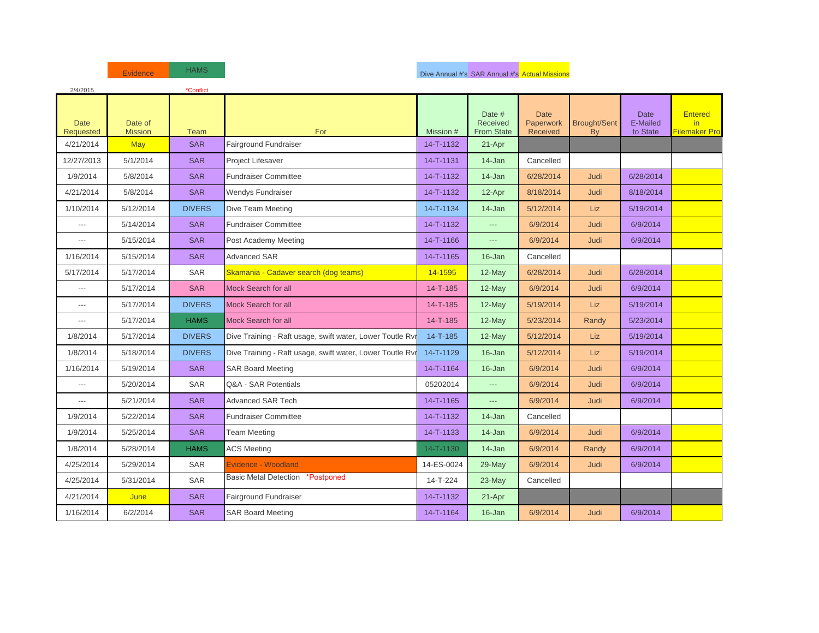| 2/4/2015                        |                           | *Conflict     |                                                           |                |                                         |                                             |                           |                                     |                                        |
|---------------------------------|---------------------------|---------------|-----------------------------------------------------------|----------------|-----------------------------------------|---------------------------------------------|---------------------------|-------------------------------------|----------------------------------------|
| <b>Date</b><br><b>Requested</b> | Date of<br><b>Mission</b> | Team          | For                                                       | Mission #      | Date #<br>Received<br><b>From State</b> | <b>Date</b><br>Paperwork<br><b>Received</b> | <b>Brought/Sent</b><br>By | <b>Date</b><br>E-Mailed<br>to State | <b>Entered</b><br>in.<br>Filemaker Pro |
| 4/21/2014                       | <b>May</b>                | <b>SAR</b>    | Fairground Fundraiser                                     | 14-T-1132      | 21-Apr                                  |                                             |                           |                                     |                                        |
| 12/27/2013                      | 5/1/2014                  | <b>SAR</b>    | Project Lifesaver                                         | 14-T-1131      | 14-Jan                                  | Cancelled                                   |                           |                                     |                                        |
| 1/9/2014                        | 5/8/2014                  | <b>SAR</b>    | <b>Fundraiser Committee</b>                               | 14-T-1132      | 14-Jan                                  | 6/28/2014                                   | Judi                      | 6/28/2014                           |                                        |
| 4/21/2014                       | 5/8/2014                  | <b>SAR</b>    | <b>Wendys Fundraiser</b>                                  | 14-T-1132      | 12-Apr                                  | 8/18/2014                                   | Judi                      | 8/18/2014                           |                                        |
| 1/10/2014                       | 5/12/2014                 | <b>DIVERS</b> | Dive Team Meeting                                         | 14-T-1134      | 14-Jan                                  | 5/12/2014                                   | <b>Liz</b>                | 5/19/2014                           |                                        |
| ---                             | 5/14/2014                 | <b>SAR</b>    | <b>Fundraiser Committee</b>                               | 14-T-1132      | $\overline{a}$                          | 6/9/2014                                    | Judi                      | 6/9/2014                            |                                        |
| ---                             | 5/15/2014                 | <b>SAR</b>    | Post Academy Meeting                                      | 14-T-1166      | $\overline{a}$                          | 6/9/2014                                    | Judi                      | 6/9/2014                            |                                        |
| 1/16/2014                       | 5/15/2014                 | <b>SAR</b>    | <b>Advanced SAR</b>                                       | 14-T-1165      | 16-Jan                                  | Cancelled                                   |                           |                                     |                                        |
| 5/17/2014                       | 5/17/2014                 | SAR           | Skamania - Cadaver search (dog teams)                     | 14-1595        | 12-May                                  | 6/28/2014                                   | Judi                      | 6/28/2014                           |                                        |
| ---                             | 5/17/2014                 | <b>SAR</b>    | Mock Search for all                                       | 14-T-185       | 12-May                                  | 6/9/2014                                    | Judi                      | 6/9/2014                            |                                        |
| ---                             | 5/17/2014                 | <b>DIVERS</b> | <b>Mock Search for all</b>                                | 14-T-185       | 12-May                                  | 5/19/2014                                   | <b>Liz</b>                | 5/19/2014                           |                                        |
| ---                             | 5/17/2014                 | <b>HAMS</b>   | <b>Mock Search for all</b>                                | 14-T-185       | 12-May                                  | 5/23/2014                                   | Randy                     | 5/23/2014                           |                                        |
| 1/8/2014                        | 5/17/2014                 | <b>DIVERS</b> | Dive Training - Raft usage, swift water, Lower Toutle Ryr | $14 - T - 185$ | 12-May                                  | 5/12/2014                                   | Liz                       | 5/19/2014                           |                                        |
| 1/8/2014                        | 5/18/2014                 | <b>DIVERS</b> | Dive Training - Raft usage, swift water, Lower Toutle Rvr | 14-T-1129      | 16-Jan                                  | 5/12/2014                                   | Liz                       | 5/19/2014                           |                                        |
| 1/16/2014                       | 5/19/2014                 | <b>SAR</b>    | <b>SAR Board Meeting</b>                                  | 14-T-1164      | 16-Jan                                  | 6/9/2014                                    | <b>Judi</b>               | 6/9/2014                            |                                        |
| ---                             | 5/20/2014                 | <b>SAR</b>    | Q&A - SAR Potentials                                      | 05202014       | $\overline{a}$                          | 6/9/2014                                    | Judi                      | 6/9/2014                            |                                        |
| ---                             | 5/21/2014                 | <b>SAR</b>    | <b>Advanced SAR Tech</b>                                  | 14-T-1165      | $\overline{a}$                          | 6/9/2014                                    | <b>Judi</b>               | 6/9/2014                            |                                        |
| 1/9/2014                        | 5/22/2014                 | <b>SAR</b>    | <b>Fundraiser Committee</b>                               | 14-T-1132      | 14-Jan                                  | Cancelled                                   |                           |                                     |                                        |
| 1/9/2014                        | 5/25/2014                 | <b>SAR</b>    | <b>Team Meeting</b>                                       | 14-T-1133      | 14-Jan                                  | 6/9/2014                                    | <b>Judi</b>               | 6/9/2014                            |                                        |
| 1/8/2014                        | 5/28/2014                 | <b>HAMS</b>   | <b>ACS Meeting</b>                                        | 14-T-1130      | 14-Jan                                  | 6/9/2014                                    | Randy                     | 6/9/2014                            |                                        |
| 4/25/2014                       | 5/29/2014                 | <b>SAR</b>    | Evidence - Woodland                                       | 14-ES-0024     | 29-May                                  | 6/9/2014                                    | Judi                      | 6/9/2014                            |                                        |
| 4/25/2014                       | 5/31/2014                 | <b>SAR</b>    | <b>Basic Metal Detection *Postponed</b>                   | 14-T-224       | $23$ -May                               | Cancelled                                   |                           |                                     |                                        |
| 4/21/2014                       | June                      | <b>SAR</b>    | Fairground Fundraiser                                     | 14-T-1132      | 21-Apr                                  |                                             |                           |                                     |                                        |
| 1/16/2014                       | 6/2/2014                  | <b>SAR</b>    | <b>SAR Board Meeting</b>                                  | 14-T-1164      | 16-Jan                                  | 6/9/2014                                    | Judi                      | 6/9/2014                            |                                        |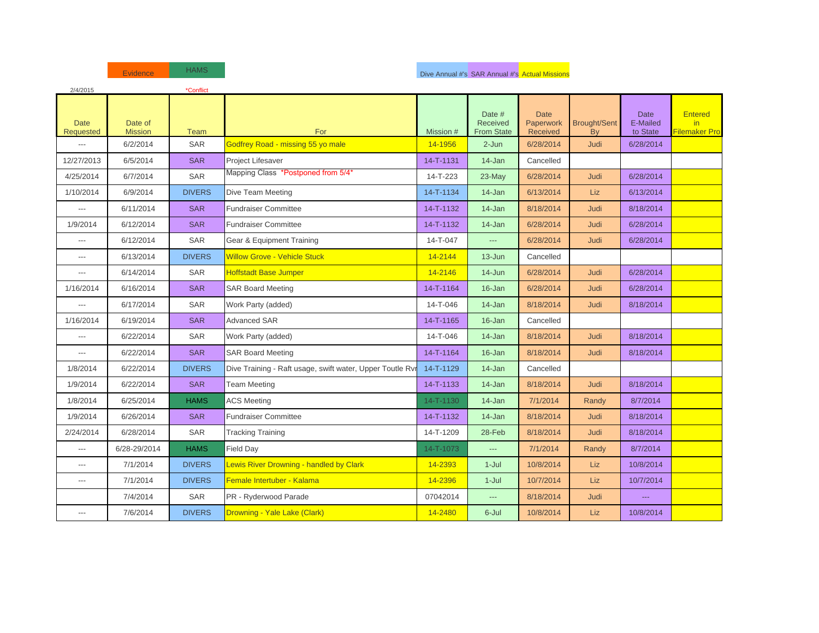| 2/4/2015                 |                           | *Conflict     |                                                           |           |                                         |                                      |                                  |                                     |                                        |
|--------------------------|---------------------------|---------------|-----------------------------------------------------------|-----------|-----------------------------------------|--------------------------------------|----------------------------------|-------------------------------------|----------------------------------------|
| <b>Date</b><br>Requested | Date of<br><b>Mission</b> | <b>Team</b>   | For                                                       | Mission # | Date #<br>Received<br><b>From State</b> | <b>Date</b><br>Paperwork<br>Received | <b>Brought/Sent</b><br><b>Bv</b> | <b>Date</b><br>E-Mailed<br>to State | <b>Entered</b><br>in.<br>Filemaker Pro |
| ---                      | 6/2/2014                  | SAR           | Godfrey Road - missing 55 yo male                         | 14-1956   | 2-Jun                                   | 6/28/2014                            | Judi                             | 6/28/2014                           |                                        |
| 12/27/2013               | 6/5/2014                  | <b>SAR</b>    | Project Lifesaver                                         | 14-T-1131 | 14-Jan                                  | Cancelled                            |                                  |                                     |                                        |
| 4/25/2014                | 6/7/2014                  | <b>SAR</b>    | Mapping Class *Postponed from 5/4*                        | 14-T-223  | 23-May                                  | 6/28/2014                            | <b>Judi</b>                      | 6/28/2014                           |                                        |
| 1/10/2014                | 6/9/2014                  | <b>DIVERS</b> | Dive Team Meeting                                         | 14-T-1134 | 14-Jan                                  | 6/13/2014                            | <b>Liz</b>                       | 6/13/2014                           |                                        |
| ---                      | 6/11/2014                 | <b>SAR</b>    | <b>Fundraiser Committee</b>                               | 14-T-1132 | 14-Jan                                  | 8/18/2014                            | Judi                             | 8/18/2014                           |                                        |
| 1/9/2014                 | 6/12/2014                 | <b>SAR</b>    | <b>Fundraiser Committee</b>                               | 14-T-1132 | 14-Jan                                  | 6/28/2014                            | Judi                             | 6/28/2014                           |                                        |
| $---$                    | 6/12/2014                 | <b>SAR</b>    | <b>Gear &amp; Equipment Training</b>                      | 14-T-047  | $\overline{\phantom{a}}$                | 6/28/2014                            | <b>Judi</b>                      | 6/28/2014                           |                                        |
| ---                      | 6/13/2014                 | <b>DIVERS</b> | <b>Willow Grove - Vehicle Stuck</b>                       | 14-2144   | 13-Jun                                  | Cancelled                            |                                  |                                     |                                        |
| ---                      | 6/14/2014                 | SAR           | <b>Hoffstadt Base Jumper</b>                              | 14-2146   | 14-Jun                                  | 6/28/2014                            | Judi                             | 6/28/2014                           |                                        |
| 1/16/2014                | 6/16/2014                 | <b>SAR</b>    | <b>SAR Board Meeting</b>                                  | 14-T-1164 | 16-Jan                                  | 6/28/2014                            | <b>Judi</b>                      | 6/28/2014                           |                                        |
| ---                      | 6/17/2014                 | SAR           | Work Party (added)                                        | 14-T-046  | 14-Jan                                  | 8/18/2014                            | Judi                             | 8/18/2014                           |                                        |
| 1/16/2014                | 6/19/2014                 | <b>SAR</b>    | <b>Advanced SAR</b>                                       | 14-T-1165 | 16-Jan                                  | Cancelled                            |                                  |                                     |                                        |
| ---                      | 6/22/2014                 | SAR           | Work Party (added)                                        | 14-T-046  | $14 - Jan$                              | 8/18/2014                            | <b>Judi</b>                      | 8/18/2014                           |                                        |
| ---                      | 6/22/2014                 | <b>SAR</b>    | <b>SAR Board Meeting</b>                                  | 14-T-1164 | $16 - Jan$                              | 8/18/2014                            | <b>Judi</b>                      | 8/18/2014                           |                                        |
| 1/8/2014                 | 6/22/2014                 | <b>DIVERS</b> | Dive Training - Raft usage, swift water, Upper Toutle Rvi | 14-T-1129 | 14-Jan                                  | Cancelled                            |                                  |                                     |                                        |
| 1/9/2014                 | 6/22/2014                 | <b>SAR</b>    | <b>Team Meeting</b>                                       | 14-T-1133 | 14-Jan                                  | 8/18/2014                            | Judi                             | 8/18/2014                           |                                        |
| 1/8/2014                 | 6/25/2014                 | <b>HAMS</b>   | <b>ACS Meeting</b>                                        | 14-T-1130 | 14-Jan                                  | 7/1/2014                             | Randy                            | 8/7/2014                            |                                        |
| 1/9/2014                 | 6/26/2014                 | <b>SAR</b>    | <b>Fundraiser Committee</b>                               | 14-T-1132 | 14-Jan                                  | 8/18/2014                            | Judi                             | 8/18/2014                           |                                        |
| 2/24/2014                | 6/28/2014                 | SAR           | <b>Tracking Training</b>                                  | 14-T-1209 | 28-Feb                                  | 8/18/2014                            | Judi                             | 8/18/2014                           |                                        |
| ---                      | 6/28-29/2014              | <b>HAMS</b>   | Field Day                                                 | 14-T-1073 | $\overline{\phantom{a}}$                | 7/1/2014                             | Randy                            | 8/7/2014                            |                                        |
| ---                      | 7/1/2014                  | <b>DIVERS</b> | <b>Lewis River Drowning - handled by Clark</b>            | 14-2393   | $1 -$ Jul                               | 10/8/2014                            | Liz                              | 10/8/2014                           |                                        |
| $---$                    | 7/1/2014                  | <b>DIVERS</b> | Female Intertuber - Kalama                                | 14-2396   | $1-Jul$                                 | 10/7/2014                            | <b>Liz</b>                       | 10/7/2014                           |                                        |
|                          | 7/4/2014                  | SAR           | PR - Ryderwood Parade                                     | 07042014  | ---                                     | 8/18/2014                            | Judi                             | <b>---</b>                          |                                        |
| ---                      | 7/6/2014                  | <b>DIVERS</b> | Drowning - Yale Lake (Clark)                              | 14-2480   | 6-Jul                                   | 10/8/2014                            | Liz                              | 10/8/2014                           |                                        |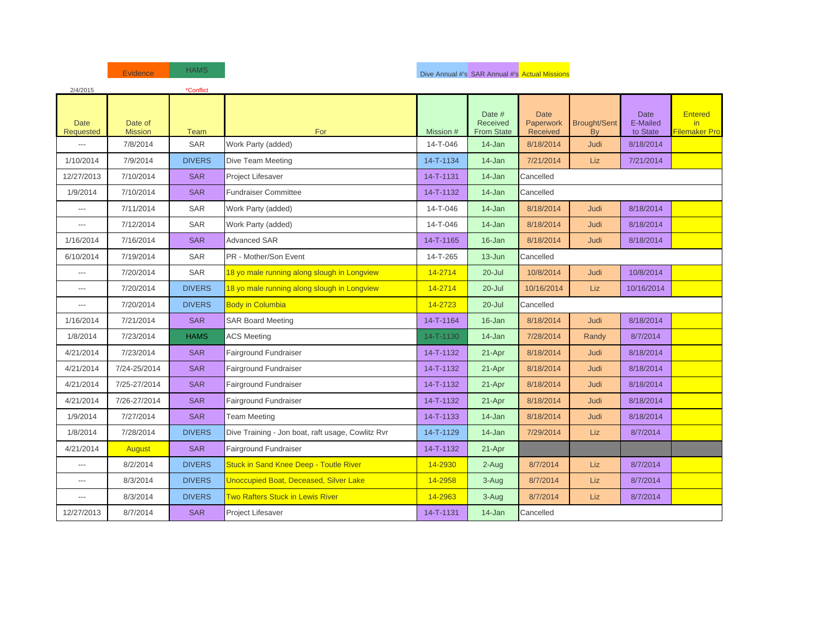| 2/4/2015                        |                           | *Conflict     |                                                   |           |                                         |                                      |                           |                                     |                                        |
|---------------------------------|---------------------------|---------------|---------------------------------------------------|-----------|-----------------------------------------|--------------------------------------|---------------------------|-------------------------------------|----------------------------------------|
| <b>Date</b><br><b>Requested</b> | Date of<br><b>Mission</b> | Team          | For                                               | Mission # | Date #<br>Received<br><b>From State</b> | <b>Date</b><br>Paperwork<br>Received | <b>Brought/Sent</b><br>By | <b>Date</b><br>E-Mailed<br>to State | <b>Entered</b><br>in.<br>Filemaker Pro |
| $\overline{a}$                  | 7/8/2014                  | <b>SAR</b>    | Work Party (added)                                | 14-T-046  | 14-Jan                                  | 8/18/2014                            | <b>Judi</b>               | 8/18/2014                           |                                        |
| 1/10/2014                       | 7/9/2014                  | <b>DIVERS</b> | Dive Team Meeting                                 | 14-T-1134 | 14-Jan                                  | 7/21/2014                            | <b>Liz</b>                | 7/21/2014                           |                                        |
| 12/27/2013                      | 7/10/2014                 | <b>SAR</b>    | Project Lifesaver                                 | 14-T-1131 | 14-Jan                                  | Cancelled                            |                           |                                     |                                        |
| 1/9/2014                        | 7/10/2014                 | <b>SAR</b>    | <b>Fundraiser Committee</b>                       | 14-T-1132 | 14-Jan                                  | Cancelled                            |                           |                                     |                                        |
| $\overline{a}$                  | 7/11/2014                 | <b>SAR</b>    | Work Party (added)                                | 14-T-046  | $14 - Jan$                              | 8/18/2014                            | Judi                      | 8/18/2014                           |                                        |
| ---                             | 7/12/2014                 | SAR           | Work Party (added)                                | 14-T-046  | 14-Jan                                  | 8/18/2014                            | Judi                      | 8/18/2014                           |                                        |
| 1/16/2014                       | 7/16/2014                 | <b>SAR</b>    | <b>Advanced SAR</b>                               | 14-T-1165 | 16-Jan                                  | 8/18/2014                            | Judi                      | 8/18/2014                           |                                        |
| 6/10/2014                       | 7/19/2014                 | <b>SAR</b>    | PR - Mother/Son Event                             | 14-T-265  | $13 - Jun$                              | Cancelled                            |                           |                                     |                                        |
| ---                             | 7/20/2014                 | <b>SAR</b>    | 18 yo male running along slough in Longview       | 14-2714   | $20 -$ Jul                              | 10/8/2014                            | <b>Judi</b>               | 10/8/2014                           |                                        |
| $---$                           | 7/20/2014                 | <b>DIVERS</b> | 18 yo male running along slough in Longview       | 14-2714   | $20 -$ Jul                              | 10/16/2014                           | <b>Liz</b>                | 10/16/2014                          |                                        |
| ---                             | 7/20/2014                 | <b>DIVERS</b> | <b>Body in Columbia</b>                           | 14-2723   | $20 -$ Jul                              | Cancelled                            |                           |                                     |                                        |
| 1/16/2014                       | 7/21/2014                 | <b>SAR</b>    | <b>SAR Board Meeting</b>                          | 14-T-1164 | 16-Jan                                  | 8/18/2014                            | Judi                      | 8/18/2014                           |                                        |
| 1/8/2014                        | 7/23/2014                 | <b>HAMS</b>   | <b>ACS Meeting</b>                                | 14-T-1130 | 14-Jan                                  | 7/28/2014                            | Randy                     | 8/7/2014                            |                                        |
| 4/21/2014                       | 7/23/2014                 | <b>SAR</b>    | Fairground Fundraiser                             | 14-T-1132 | 21-Apr                                  | 8/18/2014                            | Judi                      | 8/18/2014                           |                                        |
| 4/21/2014                       | 7/24-25/2014              | <b>SAR</b>    | Fairground Fundraiser                             | 14-T-1132 | 21-Apr                                  | 8/18/2014                            | Judi                      | 8/18/2014                           |                                        |
| 4/21/2014                       | 7/25-27/2014              | <b>SAR</b>    | Fairground Fundraiser                             | 14-T-1132 | 21-Apr                                  | 8/18/2014                            | Judi                      | 8/18/2014                           |                                        |
| 4/21/2014                       | 7/26-27/2014              | <b>SAR</b>    | Fairground Fundraiser                             | 14-T-1132 | 21-Apr                                  | 8/18/2014                            | <b>Judi</b>               | 8/18/2014                           |                                        |
| 1/9/2014                        | 7/27/2014                 | <b>SAR</b>    | Team Meeting                                      | 14-T-1133 | 14-Jan                                  | 8/18/2014                            | <b>Judi</b>               | 8/18/2014                           |                                        |
| 1/8/2014                        | 7/28/2014                 | <b>DIVERS</b> | Dive Training - Jon boat, raft usage, Cowlitz Rvr | 14-T-1129 | 14-Jan                                  | 7/29/2014                            | Liz                       | 8/7/2014                            |                                        |
| 4/21/2014                       | <b>August</b>             | <b>SAR</b>    | Fairground Fundraiser                             | 14-T-1132 | 21-Apr                                  |                                      |                           |                                     |                                        |
| ---                             | 8/2/2014                  | <b>DIVERS</b> | <b>Stuck in Sand Knee Deep - Toutle River</b>     | 14-2930   | 2-Aug                                   | 8/7/2014                             | <b>Liz</b>                | 8/7/2014                            |                                        |
| ---                             | 8/3/2014                  | <b>DIVERS</b> | <b>Unoccupied Boat, Deceased, Silver Lake</b>     | 14-2958   | 3-Aug                                   | 8/7/2014                             | Liz                       | 8/7/2014                            |                                        |
| ---                             | 8/3/2014                  | <b>DIVERS</b> | <b>Two Rafters Stuck in Lewis River</b>           | 14-2963   | 3-Aug                                   | 8/7/2014                             | Liz                       | 8/7/2014                            |                                        |
| 12/27/2013                      | 8/7/2014                  | <b>SAR</b>    | Project Lifesaver                                 | 14-T-1131 | 14-Jan                                  | Cancelled                            |                           |                                     |                                        |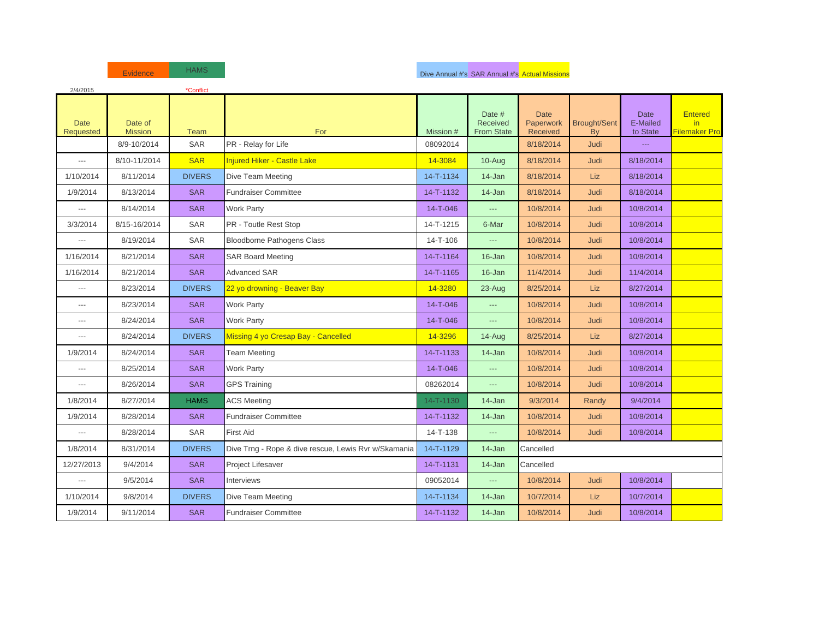| 2/4/2015                        |                           | *Conflict     |                                                      |           |                                         |                                      |                                  |                                     |                                        |
|---------------------------------|---------------------------|---------------|------------------------------------------------------|-----------|-----------------------------------------|--------------------------------------|----------------------------------|-------------------------------------|----------------------------------------|
| <b>Date</b><br><b>Requested</b> | Date of<br><b>Mission</b> | <b>Team</b>   | For                                                  | Mission # | Date #<br>Received<br><b>From State</b> | <b>Date</b><br>Paperwork<br>Received | <b>Brought/Sent</b><br><b>Bv</b> | <b>Date</b><br>E-Mailed<br>to State | <b>Entered</b><br>in.<br>Filemaker Pro |
|                                 | 8/9-10/2014               | SAR           | PR - Relay for Life                                  | 08092014  |                                         | 8/18/2014                            | Judi                             | $\scriptstyle\cdots$                |                                        |
| $\overline{a}$                  | 8/10-11/2014              | <b>SAR</b>    | <b>Injured Hiker - Castle Lake</b>                   | 14-3084   | 10-Aug                                  | 8/18/2014                            | Judi                             | 8/18/2014                           |                                        |
| 1/10/2014                       | 8/11/2014                 | <b>DIVERS</b> | Dive Team Meeting                                    | 14-T-1134 | 14-Jan                                  | 8/18/2014                            | <b>Liz</b>                       | 8/18/2014                           |                                        |
| 1/9/2014                        | 8/13/2014                 | <b>SAR</b>    | <b>Fundraiser Committee</b>                          | 14-T-1132 | 14-Jan                                  | 8/18/2014                            | Judi                             | 8/18/2014                           |                                        |
| $\overline{a}$                  | 8/14/2014                 | <b>SAR</b>    | Work Party                                           | 14-T-046  | $\overline{a}$                          | 10/8/2014                            | Judi                             | 10/8/2014                           |                                        |
| 3/3/2014                        | 8/15-16/2014              | <b>SAR</b>    | PR - Toutle Rest Stop                                | 14-T-1215 | 6-Mar                                   | 10/8/2014                            | Judi                             | 10/8/2014                           |                                        |
| $\overline{a}$                  | 8/19/2014                 | SAR           | <b>Bloodborne Pathogens Class</b>                    | 14-T-106  | $\overline{a}$                          | 10/8/2014                            | Judi                             | 10/8/2014                           |                                        |
| 1/16/2014                       | 8/21/2014                 | <b>SAR</b>    | <b>SAR Board Meeting</b>                             | 14-T-1164 | 16-Jan                                  | 10/8/2014                            | Judi                             | 10/8/2014                           |                                        |
| 1/16/2014                       | 8/21/2014                 | <b>SAR</b>    | <b>Advanced SAR</b>                                  | 14-T-1165 | 16-Jan                                  | 11/4/2014                            | Judi                             | 11/4/2014                           |                                        |
| $---$                           | 8/23/2014                 | <b>DIVERS</b> | 22 yo drowning - Beaver Bay                          | 14-3280   | 23-Aug                                  | 8/25/2014                            | <b>Liz</b>                       | 8/27/2014                           |                                        |
| $\overline{a}$                  | 8/23/2014                 | <b>SAR</b>    | <b>Work Party</b>                                    | 14-T-046  |                                         | 10/8/2014                            | Judi                             | 10/8/2014                           |                                        |
| $\overline{\phantom{a}}$        | 8/24/2014                 | <b>SAR</b>    | <b>Work Party</b>                                    | 14-T-046  | $---$                                   | 10/8/2014                            | Judi                             | 10/8/2014                           |                                        |
| $---$                           | 8/24/2014                 | <b>DIVERS</b> | Missing 4 yo Cresap Bay - Cancelled                  | 14-3296   | $14 - Aug$                              | 8/25/2014                            | <b>Liz</b>                       | 8/27/2014                           |                                        |
| 1/9/2014                        | 8/24/2014                 | <b>SAR</b>    | <b>Team Meeting</b>                                  | 14-T-1133 | 14-Jan                                  | 10/8/2014                            | Judi                             | 10/8/2014                           |                                        |
| $\overline{a}$                  | 8/25/2014                 | <b>SAR</b>    | <b>Work Party</b>                                    | 14-T-046  |                                         | 10/8/2014                            | Judi                             | 10/8/2014                           |                                        |
| $\overline{\phantom{a}}$        | 8/26/2014                 | <b>SAR</b>    | <b>GPS Training</b>                                  | 08262014  | $\overline{a}$                          | 10/8/2014                            | Judi                             | 10/8/2014                           |                                        |
| 1/8/2014                        | 8/27/2014                 | <b>HAMS</b>   | <b>ACS Meeting</b>                                   | 14-T-1130 | 14-Jan                                  | 9/3/2014                             | Randy                            | 9/4/2014                            |                                        |
| 1/9/2014                        | 8/28/2014                 | <b>SAR</b>    | <b>Fundraiser Committee</b>                          | 14-T-1132 | 14-Jan                                  | 10/8/2014                            | Judi                             | 10/8/2014                           |                                        |
| $\hspace{0.05cm} \ldots$        | 8/28/2014                 | SAR           | <b>First Aid</b>                                     | 14-T-138  | ---                                     | 10/8/2014                            | Judi                             | 10/8/2014                           |                                        |
| 1/8/2014                        | 8/31/2014                 | <b>DIVERS</b> | Dive Trng - Rope & dive rescue, Lewis Rvr w/Skamania | 14-T-1129 | 14-Jan                                  | Cancelled                            |                                  |                                     |                                        |
| 12/27/2013                      | 9/4/2014                  | <b>SAR</b>    | Project Lifesaver                                    | 14-T-1131 | 14-Jan                                  | Cancelled                            |                                  |                                     |                                        |
| $\overline{a}$                  | 9/5/2014                  | <b>SAR</b>    | Interviews                                           | 09052014  |                                         | 10/8/2014                            | Judi                             | 10/8/2014                           |                                        |
| 1/10/2014                       | 9/8/2014                  | <b>DIVERS</b> | Dive Team Meeting                                    | 14-T-1134 | 14-Jan                                  | 10/7/2014                            | Liz                              | 10/7/2014                           |                                        |
| 1/9/2014                        | 9/11/2014                 | <b>SAR</b>    | <b>Fundraiser Committee</b>                          | 14-T-1132 | 14-Jan                                  | 10/8/2014                            | Judi                             | 10/8/2014                           |                                        |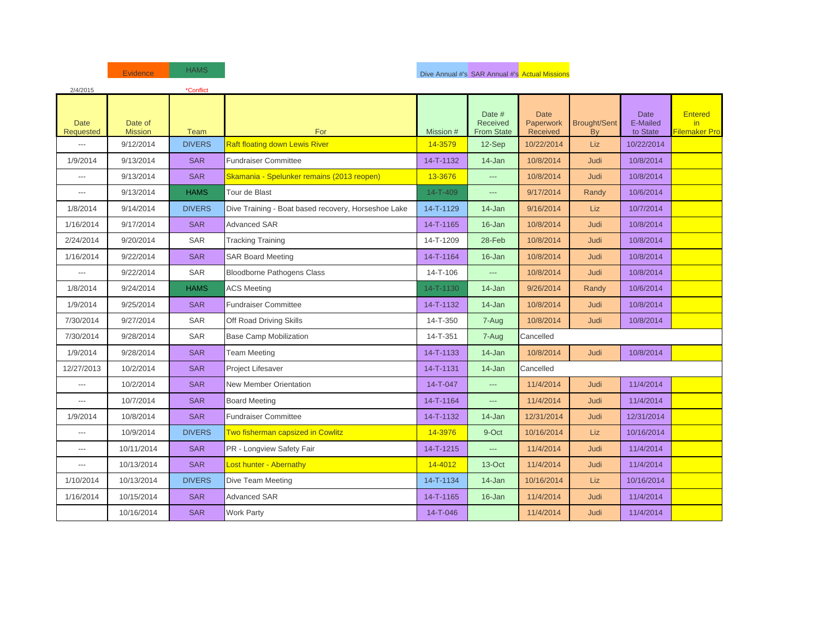| 2/4/2015                        |                           | *Conflict     |                                                     |           |                                         |                                      |                           |                                     |                                        |
|---------------------------------|---------------------------|---------------|-----------------------------------------------------|-----------|-----------------------------------------|--------------------------------------|---------------------------|-------------------------------------|----------------------------------------|
| <b>Date</b><br><b>Requested</b> | Date of<br><b>Mission</b> | <b>Team</b>   | For                                                 | Mission # | Date #<br>Received<br><b>From State</b> | <b>Date</b><br>Paperwork<br>Received | <b>Brought/Sent</b><br>By | <b>Date</b><br>E-Mailed<br>to State | <b>Entered</b><br>in.<br>Filemaker Pro |
| $\overline{a}$                  | 9/12/2014                 | <b>DIVERS</b> | <b>Raft floating down Lewis River</b>               | 14-3579   | 12-Sep                                  | 10/22/2014                           | <b>Liz</b>                | 10/22/2014                          |                                        |
| 1/9/2014                        | 9/13/2014                 | <b>SAR</b>    | <b>Fundraiser Committee</b>                         | 14-T-1132 | $14$ -Jan                               | 10/8/2014                            | Judi                      | 10/8/2014                           |                                        |
| $\overline{a}$                  | 9/13/2014                 | <b>SAR</b>    | Skamania - Spelunker remains (2013 reopen)          | 13-3676   |                                         | 10/8/2014                            | <b>Judi</b>               | 10/8/2014                           |                                        |
| $\overline{\phantom{a}}$        | 9/13/2014                 | <b>HAMS</b>   | Tour de Blast                                       | 14-T-409  | ---                                     | 9/17/2014                            | Randy                     | 10/6/2014                           |                                        |
| 1/8/2014                        | 9/14/2014                 | <b>DIVERS</b> | Dive Training - Boat based recovery, Horseshoe Lake | 14-T-1129 | 14-Jan                                  | 9/16/2014                            | <b>Liz</b>                | 10/7/2014                           |                                        |
| 1/16/2014                       | 9/17/2014                 | <b>SAR</b>    | <b>Advanced SAR</b>                                 | 14-T-1165 | 16-Jan                                  | 10/8/2014                            | Judi                      | 10/8/2014                           |                                        |
| 2/24/2014                       | 9/20/2014                 | <b>SAR</b>    | <b>Tracking Training</b>                            | 14-T-1209 | 28-Feb                                  | 10/8/2014                            | <b>Judi</b>               | 10/8/2014                           |                                        |
| 1/16/2014                       | 9/22/2014                 | <b>SAR</b>    | <b>SAR Board Meeting</b>                            | 14-T-1164 | 16-Jan                                  | 10/8/2014                            | Judi                      | 10/8/2014                           |                                        |
| $\overline{a}$                  | 9/22/2014                 | SAR           | <b>Bloodborne Pathogens Class</b>                   | 14-T-106  | ---                                     | 10/8/2014                            | Judi                      | 10/8/2014                           |                                        |
| 1/8/2014                        | 9/24/2014                 | <b>HAMS</b>   | <b>ACS Meeting</b>                                  | 14-T-1130 | 14-Jan                                  | 9/26/2014                            | Randy                     | 10/6/2014                           |                                        |
| 1/9/2014                        | 9/25/2014                 | <b>SAR</b>    | <b>Fundraiser Committee</b>                         | 14-T-1132 | 14-Jan                                  | 10/8/2014                            | Judi                      | 10/8/2014                           |                                        |
| 7/30/2014                       | 9/27/2014                 | SAR           | Off Road Driving Skills                             | 14-T-350  | 7-Aug                                   | 10/8/2014                            | Judi                      | 10/8/2014                           |                                        |
| 7/30/2014                       | 9/28/2014                 | <b>SAR</b>    | <b>Base Camp Mobilization</b>                       | 14-T-351  | 7-Aug                                   | Cancelled                            |                           |                                     |                                        |
| 1/9/2014                        | 9/28/2014                 | <b>SAR</b>    | <b>Team Meeting</b>                                 | 14-T-1133 | $14 - Jan$                              | 10/8/2014                            | <b>Judi</b>               | 10/8/2014                           |                                        |
| 12/27/2013                      | 10/2/2014                 | <b>SAR</b>    | Project Lifesaver                                   | 14-T-1131 | 14-Jan                                  | Cancelled                            |                           |                                     |                                        |
| $\overline{a}$                  | 10/2/2014                 | <b>SAR</b>    | <b>New Member Orientation</b>                       | 14-T-047  | $\overline{a}$                          | 11/4/2014                            | Judi                      | 11/4/2014                           |                                        |
| $\overline{\phantom{a}}$        | 10/7/2014                 | <b>SAR</b>    | <b>Board Meeting</b>                                | 14-T-1164 | ---                                     | 11/4/2014                            | <b>Judi</b>               | 11/4/2014                           |                                        |
| 1/9/2014                        | 10/8/2014                 | <b>SAR</b>    | <b>Fundraiser Committee</b>                         | 14-T-1132 | 14-Jan                                  | 12/31/2014                           | Judi                      | 12/31/2014                          |                                        |
| $---$                           | 10/9/2014                 | <b>DIVERS</b> | Two fisherman capsized in Cowlitz                   | 14-3976   | 9-Oct                                   | 10/16/2014                           | <b>Liz</b>                | 10/16/2014                          |                                        |
| $\qquad \qquad \cdots$          | 10/11/2014                | <b>SAR</b>    | PR - Longview Safety Fair                           | 14-T-1215 | $---$                                   | 11/4/2014                            | Judi                      | 11/4/2014                           |                                        |
| $\overline{a}$                  | 10/13/2014                | <b>SAR</b>    | Lost hunter - Abernathy                             | 14-4012   | 13-Oct                                  | 11/4/2014                            | Judi                      | 11/4/2014                           |                                        |
| 1/10/2014                       | 10/13/2014                | <b>DIVERS</b> | Dive Team Meeting                                   | 14-T-1134 | $14$ -Jan                               | 10/16/2014                           | <b>Liz</b>                | 10/16/2014                          |                                        |
| 1/16/2014                       | 10/15/2014                | <b>SAR</b>    | Advanced SAR                                        | 14-T-1165 | 16-Jan                                  | 11/4/2014                            | Judi                      | 11/4/2014                           |                                        |
|                                 | 10/16/2014                | <b>SAR</b>    | <b>Work Party</b>                                   | 14-T-046  |                                         | 11/4/2014                            | Judi                      | 11/4/2014                           |                                        |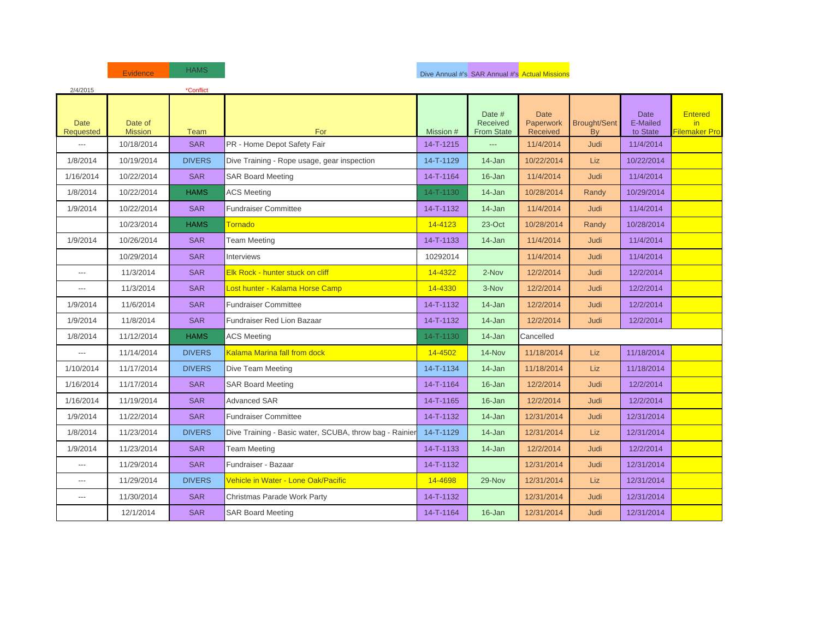| 2/4/2015                        |                           | *Conflict     |                                                         |           |                                                |                                      |                           |                                     |                                        |
|---------------------------------|---------------------------|---------------|---------------------------------------------------------|-----------|------------------------------------------------|--------------------------------------|---------------------------|-------------------------------------|----------------------------------------|
| <b>Date</b><br><b>Requested</b> | Date of<br><b>Mission</b> | Team          | For                                                     | Mission # | Date #<br><b>Received</b><br><b>From State</b> | <b>Date</b><br>Paperwork<br>Received | <b>Brought/Sent</b><br>By | <b>Date</b><br>E-Mailed<br>to State | <b>Entered</b><br>in.<br>Filemaker Pro |
| $\overline{a}$                  | 10/18/2014                | <b>SAR</b>    | PR - Home Depot Safety Fair                             | 14-T-1215 | ---                                            | 11/4/2014                            | <b>Judi</b>               | 11/4/2014                           |                                        |
| 1/8/2014                        | 10/19/2014                | <b>DIVERS</b> | Dive Training - Rope usage, gear inspection             | 14-T-1129 | 14-Jan                                         | 10/22/2014                           | <b>Liz</b>                | 10/22/2014                          |                                        |
| 1/16/2014                       | 10/22/2014                | <b>SAR</b>    | <b>SAR Board Meeting</b>                                | 14-T-1164 | 16-Jan                                         | 11/4/2014                            | Judi                      | 11/4/2014                           |                                        |
| 1/8/2014                        | 10/22/2014                | <b>HAMS</b>   | <b>ACS Meeting</b>                                      | 14-T-1130 | $14$ -Jan                                      | 10/28/2014                           | Randy                     | 10/29/2014                          |                                        |
| 1/9/2014                        | 10/22/2014                | <b>SAR</b>    | <b>Fundraiser Committee</b>                             | 14-T-1132 | 14-Jan                                         | 11/4/2014                            | Judi                      | 11/4/2014                           |                                        |
|                                 | 10/23/2014                | <b>HAMS</b>   | <b>Tornado</b>                                          | 14-4123   | 23-Oct                                         | 10/28/2014                           | Randy                     | 10/28/2014                          |                                        |
| 1/9/2014                        | 10/26/2014                | <b>SAR</b>    | Team Meeting                                            | 14-T-1133 | $14$ -Jan                                      | 11/4/2014                            | Judi                      | 11/4/2014                           |                                        |
|                                 | 10/29/2014                | <b>SAR</b>    | <b>Interviews</b>                                       | 10292014  |                                                | 11/4/2014                            | Judi                      | 11/4/2014                           |                                        |
| $\cdots$                        | 11/3/2014                 | <b>SAR</b>    | Elk Rock - hunter stuck on cliff                        | 14-4322   | 2-Nov                                          | 12/2/2014                            | <b>Judi</b>               | 12/2/2014                           |                                        |
| $---$                           | 11/3/2014                 | <b>SAR</b>    | Lost hunter - Kalama Horse Camp                         | 14-4330   | 3-Nov                                          | 12/2/2014                            | Judi                      | 12/2/2014                           |                                        |
| 1/9/2014                        | 11/6/2014                 | <b>SAR</b>    | <b>Fundraiser Committee</b>                             | 14-T-1132 | 14-Jan                                         | 12/2/2014                            | Judi                      | 12/2/2014                           |                                        |
| 1/9/2014                        | 11/8/2014                 | <b>SAR</b>    | Fundraiser Red Lion Bazaar                              | 14-T-1132 | 14-Jan                                         | 12/2/2014                            | Judi                      | 12/2/2014                           |                                        |
| 1/8/2014                        | 11/12/2014                | <b>HAMS</b>   | <b>ACS Meeting</b>                                      | 14-T-1130 | $14$ -Jan                                      | Cancelled                            |                           |                                     |                                        |
| $\overline{\phantom{a}}$        | 11/14/2014                | <b>DIVERS</b> | Kalama Marina fall from dock                            | 14-4502   | 14-Nov                                         | 11/18/2014                           | <b>Liz</b>                | 11/18/2014                          |                                        |
| 1/10/2014                       | 11/17/2014                | <b>DIVERS</b> | Dive Team Meeting                                       | 14-T-1134 | $14$ -Jan                                      | 11/18/2014                           | Liz                       | 11/18/2014                          |                                        |
| 1/16/2014                       | 11/17/2014                | <b>SAR</b>    | <b>SAR Board Meeting</b>                                | 14-T-1164 | 16-Jan                                         | 12/2/2014                            | Judi                      | 12/2/2014                           |                                        |
| 1/16/2014                       | 11/19/2014                | <b>SAR</b>    | <b>Advanced SAR</b>                                     | 14-T-1165 | 16-Jan                                         | 12/2/2014                            | <b>Judi</b>               | 12/2/2014                           |                                        |
| 1/9/2014                        | 11/22/2014                | <b>SAR</b>    | <b>Fundraiser Committee</b>                             | 14-T-1132 | $14 - Jan$                                     | 12/31/2014                           | <b>Judi</b>               | 12/31/2014                          |                                        |
| 1/8/2014                        | 11/23/2014                | <b>DIVERS</b> | Dive Training - Basic water, SCUBA, throw bag - Rainier | 14-T-1129 | $14$ -Jan                                      | 12/31/2014                           | <b>Liz</b>                | 12/31/2014                          |                                        |
| 1/9/2014                        | 11/23/2014                | <b>SAR</b>    | Team Meeting                                            | 14-T-1133 | $14$ -Jan                                      | 12/2/2014                            | <b>Judi</b>               | 12/2/2014                           |                                        |
| $---$                           | 11/29/2014                | <b>SAR</b>    | Fundraiser - Bazaar                                     | 14-T-1132 |                                                | 12/31/2014                           | Judi                      | 12/31/2014                          |                                        |
| $---$                           | 11/29/2014                | <b>DIVERS</b> | Vehicle in Water - Lone Oak/Pacific                     | 14-4698   | 29-Nov                                         | 12/31/2014                           | <b>Liz</b>                | 12/31/2014                          |                                        |
| $\overline{a}$                  | 11/30/2014                | <b>SAR</b>    | Christmas Parade Work Party                             | 14-T-1132 |                                                | 12/31/2014                           | Judi                      | 12/31/2014                          |                                        |
|                                 | 12/1/2014                 | <b>SAR</b>    | <b>SAR Board Meeting</b>                                | 14-T-1164 | $16 - Jan$                                     | 12/31/2014                           | Judi                      | 12/31/2014                          |                                        |